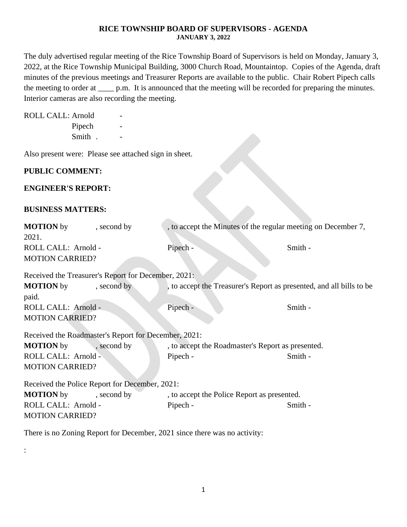### **RICE TOWNSHIP BOARD OF SUPERVISORS - AGENDA JANUARY 3, 2022**

The duly advertised regular meeting of the Rice Township Board of Supervisors is held on Monday, January 3, 2022, at the Rice Township Municipal Building, 3000 Church Road, Mountaintop. Copies of the Agenda, draft minutes of the previous meetings and Treasurer Reports are available to the public. Chair Robert Pipech calls the meeting to order at \_\_\_\_\_ p.m. It is announced that the meeting will be recorded for preparing the minutes. Interior cameras are also recording the meeting.

ROLL CALL: Arnold

Pipech Smith . -

Also present were: Please see attached sign in sheet.

# **PUBLIC COMMENT:**

### **ENGINEER'S REPORT:**

### **BUSINESS MATTERS:**

:

| <b>PUBLIC COMMENT:</b>                               |             |                                                                      |         |  |  |
|------------------------------------------------------|-------------|----------------------------------------------------------------------|---------|--|--|
| <b>ENGINEER'S REPORT:</b>                            |             |                                                                      |         |  |  |
| <b>BUSINESS MATTERS:</b>                             |             |                                                                      |         |  |  |
| <b>MOTION</b> by<br>2021.                            | , second by | , to accept the Minutes of the regular meeting on December 7,        |         |  |  |
| ROLL CALL: Arnold -<br><b>MOTION CARRIED?</b>        |             | Pipech -                                                             | Smith - |  |  |
| Received the Treasurer's Report for December, 2021:  |             |                                                                      |         |  |  |
| <b>MOTION</b> by<br>paid.                            | , second by | , to accept the Treasurer's Report as presented, and all bills to be |         |  |  |
| ROLL CALL: Arnold -<br><b>MOTION CARRIED?</b>        |             | Pipech -                                                             | Smith - |  |  |
| Received the Roadmaster's Report for December, 2021: |             |                                                                      |         |  |  |
| <b>MOTION</b> by                                     | , second by | , to accept the Roadmaster's Report as presented.                    |         |  |  |
| ROLL CALL: Arnold -<br><b>MOTION CARRIED?</b>        |             | Pipech -                                                             | Smith - |  |  |
| Received the Police Report for December, 2021:       |             |                                                                      |         |  |  |
| <b>MOTION</b> by                                     | , second by | , to accept the Police Report as presented.                          |         |  |  |
| ROLL CALL: Arnold -<br><b>MOTION CARRIED?</b>        |             | Pipech -                                                             | Smith - |  |  |

There is no Zoning Report for December, 2021 since there was no activity: